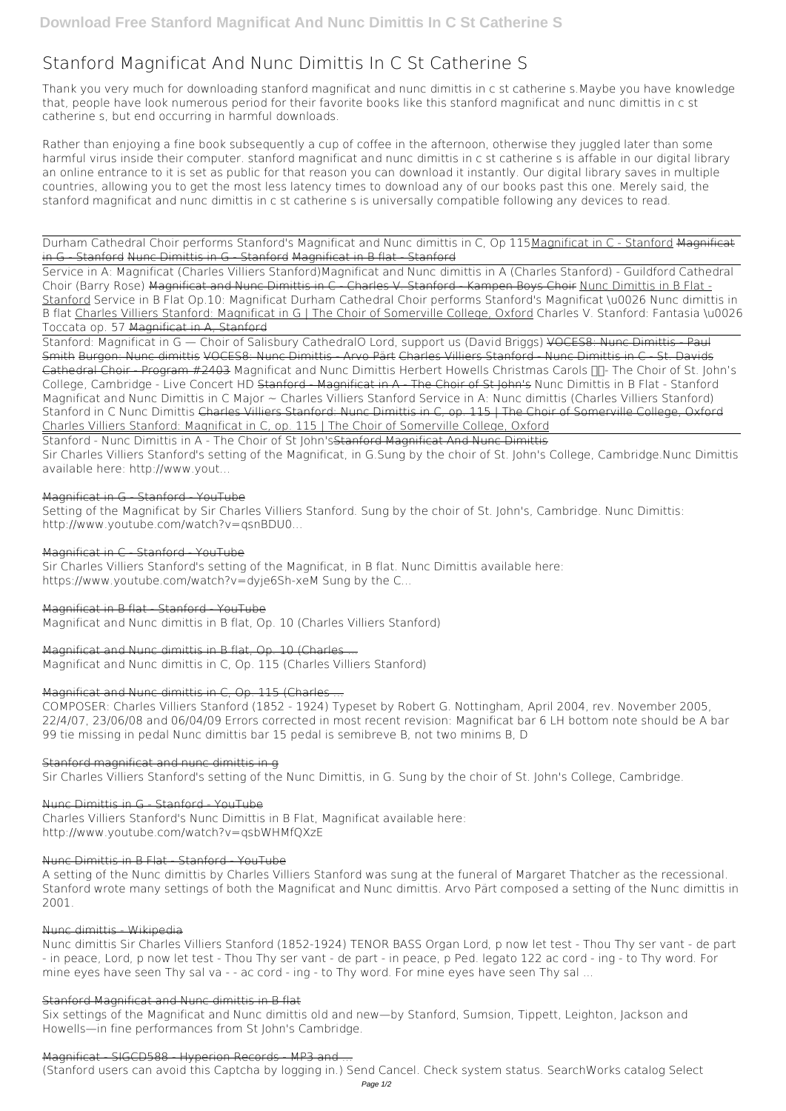# **Stanford Magnificat And Nunc Dimittis In C St Catherine S**

Thank you very much for downloading **stanford magnificat and nunc dimittis in c st catherine s**.Maybe you have knowledge that, people have look numerous period for their favorite books like this stanford magnificat and nunc dimittis in c st catherine s, but end occurring in harmful downloads.

Rather than enjoying a fine book subsequently a cup of coffee in the afternoon, otherwise they juggled later than some harmful virus inside their computer. **stanford magnificat and nunc dimittis in c st catherine s** is affable in our digital library an online entrance to it is set as public for that reason you can download it instantly. Our digital library saves in multiple countries, allowing you to get the most less latency times to download any of our books past this one. Merely said, the stanford magnificat and nunc dimittis in c st catherine s is universally compatible following any devices to read.

Durham Cathedral Choir performs Stanford's Magnificat and Nunc dimittis in C, Op 115Magnificat in C - Stanford Magnificat in G - Stanford Nunc Dimittis in G - Stanford Magnificat in B flat - Stanford

Service in A: Magnificat (Charles Villiers Stanford)*Magnificat and Nunc dimittis in A (Charles Stanford) - Guildford Cathedral Choir (Barry Rose)* Magnificat and Nunc Dimittis in C - Charles V. Stanford - Kampen Boys Choir Nunc Dimittis in B Flat - Stanford **Service in B Flat Op.10: Magnificat** Durham Cathedral Choir performs Stanford's Magnificat \u0026 Nunc dimittis in B flat Charles Villiers Stanford: Magnificat in G | The Choir of Somerville College, Oxford **Charles V. Stanford: Fantasia \u0026 Toccata op. 57** Magnificat in A, Stanford

Sir Charles Villiers Stanford's setting of the Magnificat, in B flat. Nunc Dimittis available here: https://www.youtube.com/watch?v=dyje6Sh-xeM Sung by the C...

Stanford: Magnificat in G — Choir of Salisbury Cathedral*O Lord, support us (David Briggs)* VOCES8: Nunc Dimittis - Paul Smith Burgon: Nunc dimittis VOCES8: Nunc Dimittis - Arvo Pärt Charles Villiers Stanford - Nunc Dimittis in C - St. Davids Cathedral Choir - Program #2403 Magnificat and Nunc Dimittis Herbert Howells Christmas Carols  $\Pi$ - The Choir of St. John's College, Cambridge - Live Concert HD Stanford - Magnificat in A - The Choir of St John's **Nunc Dimittis in B Flat - Stanford** *Magnificat and Nunc Dimittis in C Major ~ Charles Villiers Stanford* **Service in A: Nunc dimittis (Charles Villiers Stanford)** Stanford in C Nunc Dimittis Charles Villiers Stanford: Nunc Dimittis in C, op. 115 | The Choir of Somerville College, Oxford Charles Villiers Stanford: Magnificat in C, op. 115 | The Choir of Somerville College, Oxford

Nunc dimittis Sir Charles Villiers Stanford (1852-1924) TENOR BASS Organ Lord, p now let test - Thou Thy ser vant - de part - in peace, Lord, p now let test - Thou Thy ser vant - de part - in peace, p Ped. legato 122 ac cord - ing - to Thy word. For mine eyes have seen Thy sal va - - ac cord - ing - to Thy word. For mine eyes have seen Thy sal ...

Stanford - Nunc Dimittis in A - The Choir of St John'sStanford Magnificat And Nunc Dimittis Sir Charles Villiers Stanford's setting of the Magnificat, in G.Sung by the choir of St. John's College, Cambridge.Nunc Dimittis available here: http://www.yout...

# Magnificat in G - Stanford - YouTube

Setting of the Magnificat by Sir Charles Villiers Stanford. Sung by the choir of St. John's, Cambridge. Nunc Dimittis: http://www.youtube.com/watch?v=qsnBDU0...

## Magnificat in C - Stanford - YouTube

## Magnificat in B flat - Stanford - YouTube

Magnificat and Nunc dimittis in B flat, Op. 10 (Charles Villiers Stanford)

# Magnificat and Nunc dimittis in B flat, Op. 10 (Charles ...

Magnificat and Nunc dimittis in C, Op. 115 (Charles Villiers Stanford)

## Magnificat and Nunc dimittis in C, Op. 115 (Charles ...

COMPOSER: Charles Villiers Stanford (1852 - 1924) Typeset by Robert G. Nottingham, April 2004, rev. November 2005, 22/4/07, 23/06/08 and 06/04/09 Errors corrected in most recent revision: Magnificat bar 6 LH bottom note should be A bar 99 tie missing in pedal Nunc dimittis bar 15 pedal is semibreve B, not two minims B, D

## Stanford magnificat and nunc dimittis in g

Sir Charles Villiers Stanford's setting of the Nunc Dimittis, in G. Sung by the choir of St. John's College, Cambridge.

# Nunc Dimittis in G - Stanford - YouTube Charles Villiers Stanford's Nunc Dimittis in B Flat, Magnificat available here: http://www.youtube.com/watch?v=qsbWHMfQXzE

#### Nunc Dimittis in B Flat - Stanford - YouTube

A setting of the Nunc dimittis by Charles Villiers Stanford was sung at the funeral of Margaret Thatcher as the recessional. Stanford wrote many settings of both the Magnificat and Nunc dimittis. Arvo Pärt composed a setting of the Nunc dimittis in 2001.

#### Nunc dimittis - Wikipedia

#### Stanford Magnificat and Nunc dimittis in B flat

Six settings of the Magnificat and Nunc dimittis old and new—by Stanford, Sumsion, Tippett, Leighton, Jackson and Howells—in fine performances from St John's Cambridge.

Magnificat - SIGCD588 - Hyperion Records - MP3 and ...

(Stanford users can avoid this Captcha by logging in.) Send Cancel. Check system status. SearchWorks catalog Select